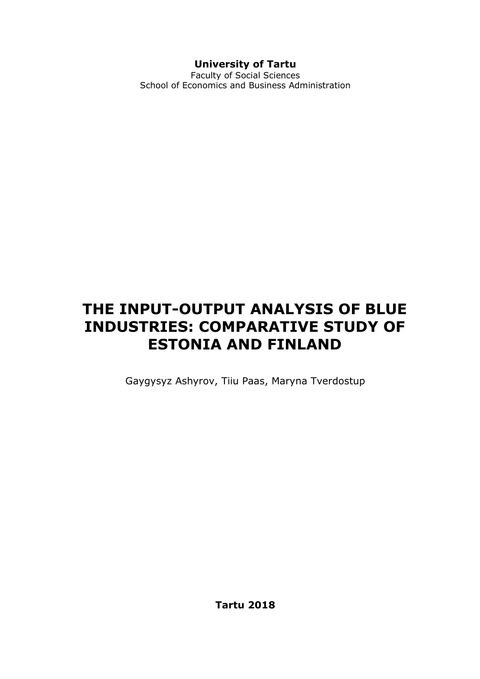### **University of Tartu**

Faculty of Social Sciences School of Economics and Business Administration

# **THE INPUT-OUTPUT ANALYSIS OF BLUE INDUSTRIES: COMPARATIVE STUDY OF ESTONIA AND FINLAND**

Gaygysyz Ashyrov, Tiiu Paas, Maryna Tverdostup

**Tartu 2018**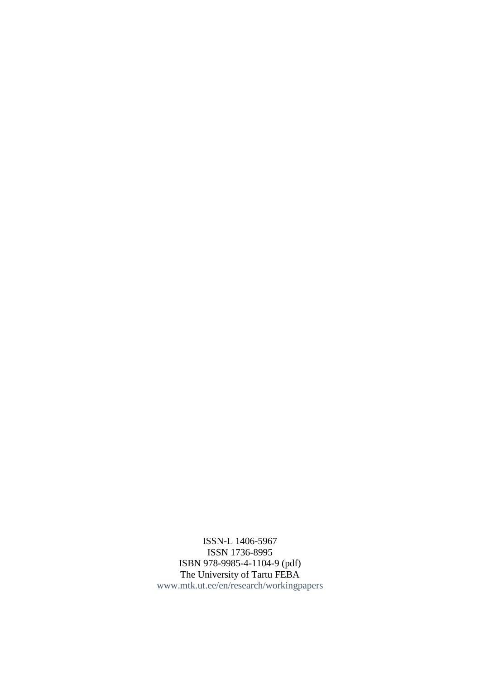ISSN-L 1406-5967 ISSN 1736-8995 ISBN 978-9985-4-1104-9 (pdf) The University of Tartu FEBA [www.mtk.ut.ee/en/research/workingpapers](http://www.mtk.ut.ee/en/research/workingpapers)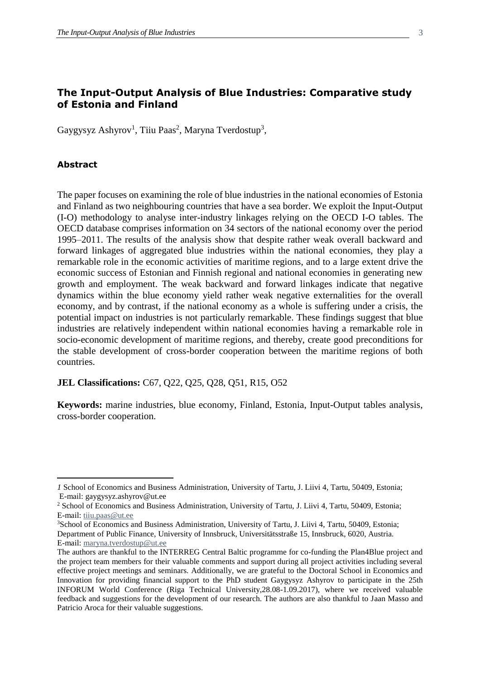#### **The Input-Output Analysis of Blue Industries: Comparative study of Estonia and Finland**

Gaygysyz Ashyrov<sup>1</sup>, Tiiu Paas<sup>2</sup>, Maryna Tverdostup<sup>3</sup>,

#### **Abstract**

 $\overline{a}$ 

The paper focuses on examining the role of blue industries in the national economies of Estonia and Finland as two neighbouring countries that have a sea border. We exploit the Input-Output (I-O) methodology to analyse inter-industry linkages relying on the OECD I-O tables. The OECD database comprises information on 34 sectors of the national economy over the period 1995–2011. The results of the analysis show that despite rather weak overall backward and forward linkages of aggregated blue industries within the national economies, they play a remarkable role in the economic activities of maritime regions, and to a large extent drive the economic success of Estonian and Finnish regional and national economies in generating new growth and employment. The weak backward and forward linkages indicate that negative dynamics within the blue economy yield rather weak negative externalities for the overall economy, and by contrast, if the national economy as a whole is suffering under a crisis, the potential impact on industries is not particularly remarkable. These findings suggest that blue industries are relatively independent within national economies having a remarkable role in socio-economic development of maritime regions, and thereby, create good preconditions for the stable development of cross-border cooperation between the maritime regions of both countries.

#### **JEL Classifications:** C67, Q22, Q25, Q28, Q51, R15, O52

**Keywords:** marine industries, blue economy, Finland, Estonia, Input-Output tables analysis, cross-border cooperation.

*<sup>1</sup>* School of Economics and Business Administration, University of Tartu, J. Liivi 4, Tartu, 50409, Estonia; E-mail: [gaygysyz.ashyrov@ut.ee](mailto:gaygysyz.ashyrov@ut.ee) 

<sup>2</sup> School of Economics and Business Administration, University of Tartu, J. Liivi 4, Tartu, 50409, Estonia; E-mail: [tiiu.paas@ut.ee](mailto:tiiu.paas@ut.ee)

<sup>3</sup>School of Economics and Business Administration, University of Tartu, J. Liivi 4, Tartu, 50409, Estonia; Department of Public Finance, University of Innsbruck, Universitätsstraße 15, Innsbruck, 6020, Austria. E-mail: [maryna.tverdostup@ut.ee](mailto:maryna.tverdostup@ut.ee)

The authors are thankful to the INTERREG Central Baltic programme for co-funding the Plan4Blue project and the project team members for their valuable comments and support during all project activities including several effective project meetings and seminars. Additionally, we are grateful to the Doctoral School in Economics and Innovation for providing financial support to the PhD student Gaygysyz Ashyrov to participate in the 25th INFORUM World Conference (Riga Technical University,28.08-1.09.2017), where we received valuable feedback and suggestions for the development of our research. The authors are also thankful to Jaan Masso and Patricio Aroca for their valuable suggestions.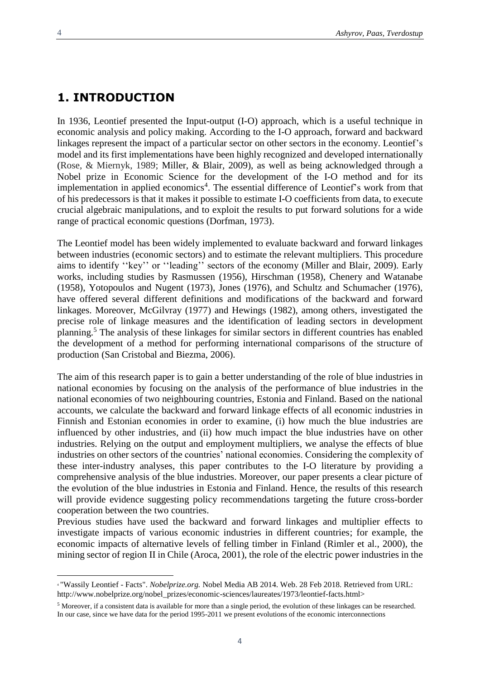$\overline{a}$ 

### **1. INTRODUCTION**

In 1936, Leontief presented the Input-output (I-O) approach, which is a useful technique in economic analysis and policy making. According to the I-O approach, forward and backward linkages represent the impact of a particular sector on other sectors in the economy. Leontief's model and its first implementations have been highly recognized and developed internationally (Rose, & Miernyk, 1989; Miller, & Blair, 2009), as well as being acknowledged through a Nobel prize in Economic Science for the development of the I-O method and for its implementation in applied economics<sup>4</sup>. The essential difference of Leontief's work from that of his predecessors is that it makes it possible to estimate I-O coefficients from data, to execute crucial algebraic manipulations, and to exploit the results to put forward solutions for a wide range of practical economic questions (Dorfman, 1973).

The Leontief model has been widely implemented to evaluate backward and forward linkages between industries (economic sectors) and to estimate the relevant multipliers. This procedure aims to identify ''key'' or ''leading'' sectors of the economy (Miller and Blair, 2009). Early works, including studies by Rasmussen (1956), Hirschman (1958), Chenery and Watanabe (1958), Yotopoulos and Nugent (1973), Jones (1976), and Schultz and Schumacher (1976), have offered several different definitions and modifications of the backward and forward linkages. Moreover, McGilvray (1977) and Hewings (1982), among others, investigated the precise role of linkage measures and the identification of leading sectors in development planning. <sup>5</sup> The analysis of these linkages for similar sectors in different countries has enabled the development of a method for performing international comparisons of the structure of production (San Cristobal and Biezma, 2006).

The aim of this research paper is to gain a better understanding of the role of blue industries in national economies by focusing on the analysis of the performance of blue industries in the national economies of two neighbouring countries, Estonia and Finland. Based on the national accounts, we calculate the backward and forward linkage effects of all economic industries in Finnish and Estonian economies in order to examine, (i) how much the blue industries are influenced by other industries, and (ii) how much impact the blue industries have on other industries. Relying on the output and employment multipliers, we analyse the effects of blue industries on other sectors of the countries' national economies. Considering the complexity of these inter-industry analyses, this paper contributes to the I-O literature by providing a comprehensive analysis of the blue industries. Moreover, our paper presents a clear picture of the evolution of the blue industries in Estonia and Finland. Hence, the results of this research will provide evidence suggesting policy recommendations targeting the future cross-border cooperation between the two countries.

Previous studies have used the backward and forward linkages and multiplier effects to investigate impacts of various economic industries in different countries; for example, the economic impacts of alternative levels of felling timber in Finland (Rimler et al., 2000), the mining sector of region II in Chile (Aroca, 2001), the role of the electric power industries in the

<sup>4</sup> "Wassily Leontief - Facts". *Nobelprize.org.* Nobel Media AB 2014. Web. 28 Feb 2018. Retrieved from URL: http://www.nobelprize.org/nobel\_prizes/economic-sciences/laureates/1973/leontief-facts.html>

<sup>5</sup> Moreover, if a consistent data is available for more than a single period, the evolution of these linkages can be researched. In our case, since we have data for the period 1995-2011 we present evolutions of the economic interconnections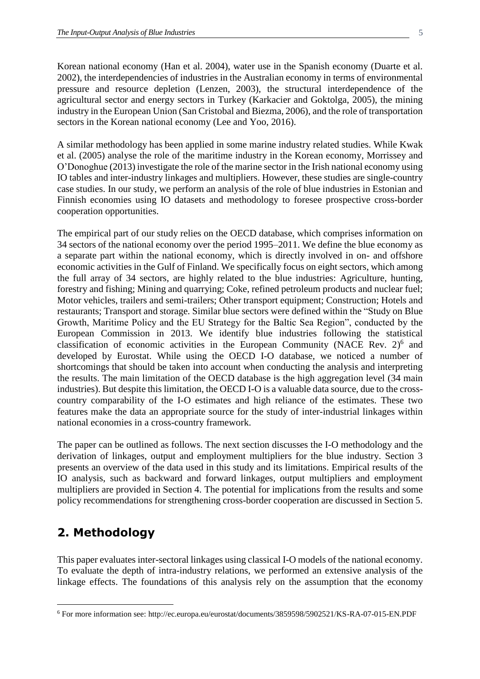Korean national economy (Han et al. 2004), water use in the Spanish economy (Duarte et al. 2002), the interdependencies of industries in the Australian economy in terms of environmental pressure and resource depletion (Lenzen, 2003), the structural interdependence of the agricultural sector and energy sectors in Turkey (Karkacier and Goktolga, 2005), the mining industry in the European Union (San Cristobal and Biezma, 2006), and the role of transportation sectors in the Korean national economy (Lee and Yoo, 2016).

A similar methodology has been applied in some marine industry related studies. While Kwak et al. (2005) analyse the role of the maritime industry in the Korean economy, Morrissey and O'Donoghue (2013) investigate the role of the marine sector in the Irish national economy using IO tables and inter-industry linkages and multipliers. However, these studies are single-country case studies. In our study, we perform an analysis of the role of blue industries in Estonian and Finnish economies using IO datasets and methodology to foresee prospective cross-border cooperation opportunities.

The empirical part of our study relies on the OECD database, which comprises information on 34 sectors of the national economy over the period 1995–2011. We define the blue economy as a separate part within the national economy, which is directly involved in on- and offshore economic activities in the Gulf of Finland. We specifically focus on eight sectors, which among the full array of 34 sectors, are highly related to the blue industries: Agriculture, hunting, forestry and fishing; Mining and quarrying; Coke, refined petroleum products and nuclear fuel; Motor vehicles, trailers and semi-trailers; Other transport equipment; Construction; Hotels and restaurants; Transport and storage. Similar blue sectors were defined within the "Study on Blue Growth, Maritime Policy and the EU Strategy for the Baltic Sea Region", conducted by the European Commission in 2013. We identify blue industries following the statistical classification of economic activities in the European Community (NACE Rev. 2)<sup>6</sup> and developed by Eurostat. While using the OECD I-O database, we noticed a number of shortcomings that should be taken into account when conducting the analysis and interpreting the results. The main limitation of the OECD database is the high aggregation level (34 main industries). But despite this limitation, the OECD I-O is a valuable data source, due to the crosscountry comparability of the I-O estimates and high reliance of the estimates. These two features make the data an appropriate source for the study of inter-industrial linkages within national economies in a cross-country framework.

The paper can be outlined as follows. The next section discusses the I-O methodology and the derivation of linkages, output and employment multipliers for the blue industry. Section 3 presents an overview of the data used in this study and its limitations. Empirical results of the IO analysis, such as backward and forward linkages, output multipliers and employment multipliers are provided in Section 4. The potential for implications from the results and some policy recommendations for strengthening cross-border cooperation are discussed in Section 5.

### **2. Methodology**

 $\overline{a}$ 

This paper evaluates inter-sectoral linkages using classical I-O models of the national economy. To evaluate the depth of intra-industry relations, we performed an extensive analysis of the linkage effects. The foundations of this analysis rely on the assumption that the economy

<sup>6</sup> For more information see: http://ec.europa.eu/eurostat/documents/3859598/5902521/KS-RA-07-015-EN.PDF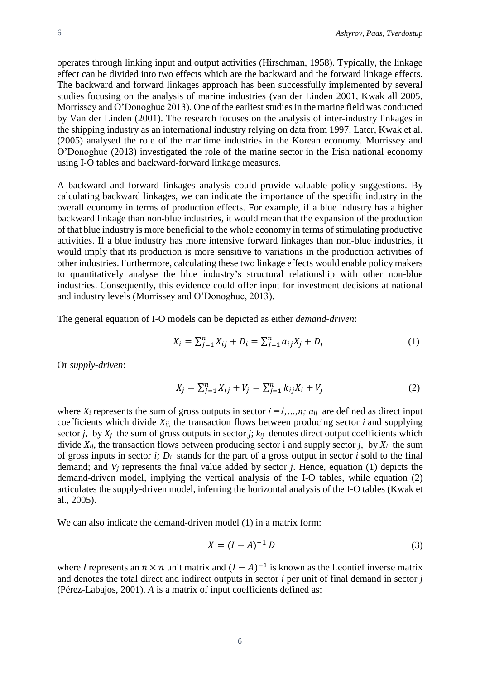operates through linking input and output activities (Hirschman, 1958). Typically, the linkage effect can be divided into two effects which are the backward and the forward linkage effects. The backward and forward linkages approach has been successfully implemented by several studies focusing on the analysis of marine industries (van der Linden 2001, Kwak all 2005, Morrissey and O'Donoghue 2013). One of the earliest studies in the marine field was conducted by Van der Linden (2001). The research focuses on the analysis of inter-industry linkages in the shipping industry as an international industry relying on data from 1997. Later, Kwak et al. (2005) analysed the role of the maritime industries in the Korean economy. Morrissey and O'Donoghue (2013) investigated the role of the marine sector in the Irish national economy using I-O tables and backward-forward linkage measures.

A backward and forward linkages analysis could provide valuable policy suggestions. By calculating backward linkages, we can indicate the importance of the specific industry in the overall economy in terms of production effects. For example, if a blue industry has a higher backward linkage than non-blue industries, it would mean that the expansion of the production of that blue industry is more beneficial to the whole economy in terms of stimulating productive activities. If a blue industry has more intensive forward linkages than non-blue industries, it would imply that its production is more sensitive to variations in the production activities of other industries. Furthermore, calculating these two linkage effects would enable policy makers to quantitatively analyse the blue industry's structural relationship with other non-blue industries. Consequently, this evidence could offer input for investment decisions at national and industry levels (Morrissey and O'Donoghue, 2013).

The general equation of I-O models can be depicted as either *demand-driven*:

$$
X_i = \sum_{j=1}^n X_{ij} + D_i = \sum_{j=1}^n a_{ij} X_j + D_i
$$
 (1)

Or *supply-driven*:

$$
X_j = \sum_{j=1}^n X_{ij} + V_j = \sum_{j=1}^n k_{ij} X_i + V_j
$$
 (2)

where  $X_i$  represents the sum of gross outputs in sector  $i =1,...,n$ ;  $a_{ij}$  are defined as direct input coefficients which divide  $X_{ij}$ , the transaction flows between producing sector *i* and supplying sector *j*, by  $X_j$  the sum of gross outputs in sector *j*;  $k_{ij}$  denotes direct output coefficients which divide  $X_{ij}$ , the transaction flows between producing sector i and supply sector *j*, by  $X_i$  the sum of gross inputs in sector  $i$ ;  $D_i$  stands for the part of a gross output in sector  $i$  sold to the final demand; and *V<sup>j</sup>* represents the final value added by sector *j*. Hence, equation (1) depicts the demand-driven model, implying the vertical analysis of the I-O tables, while equation (2) articulates the supply-driven model, inferring the horizontal analysis of the I-O tables (Kwak et al., 2005).

We can also indicate the demand-driven model (1) in a matrix form:

$$
X = (I - A)^{-1} D
$$
 (3)

where *I* represents an  $n \times n$  unit matrix and  $(I - A)^{-1}$  is known as the Leontief inverse matrix and denotes the total direct and indirect outputs in sector *i* per unit of final demand in sector *j*  (Pérez-Labajos, 2001). *A* is a matrix of input coefficients defined as: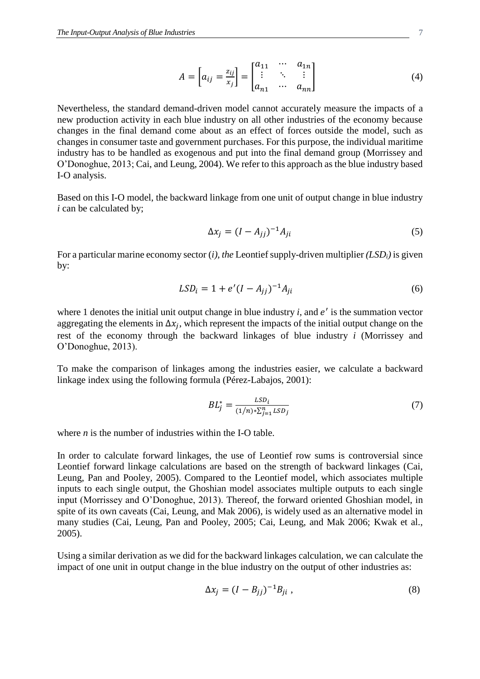$$
A = \begin{bmatrix} a_{ij} = \frac{z_{ij}}{x_j} \end{bmatrix} = \begin{bmatrix} a_{11} & \cdots & a_{1n} \\ \vdots & \ddots & \vdots \\ a_{n1} & \cdots & a_{nn} \end{bmatrix}
$$
 (4)

Nevertheless, the standard demand-driven model cannot accurately measure the impacts of a new production activity in each blue industry on all other industries of the economy because changes in the final demand come about as an effect of forces outside the model, such as changes in consumer taste and government purchases. For this purpose, the individual maritime industry has to be handled as exogenous and put into the final demand group (Morrissey and O'Donoghue, 2013; Cai, and Leung, 2004). We refer to this approach as the blue industry based I-O analysis.

Based on this I-O model, the backward linkage from one unit of output change in blue industry *i* can be calculated by;

$$
\Delta x_j = (I - A_{jj})^{-1} A_{ji} \tag{5}
$$

For a particular marine economy sector (*i), the* Leontief supply-driven multiplier *(LSDi)* is given by:

$$
LSD_i = 1 + e'(I - A_{jj})^{-1}A_{ji}
$$
\n(6)

where 1 denotes the initial unit output change in blue industry  $i$ , and  $e'$  is the summation vector aggregating the elements in  $\Delta x_j$ , which represent the impacts of the initial output change on the rest of the economy through the backward linkages of blue industry *i* (Morrissey and O'Donoghue, 2013).

To make the comparison of linkages among the industries easier, we calculate a backward linkage index using the following formula (Pérez-Labajos, 2001):

$$
BL_j^* = \frac{LSD_i}{(1/n) * \sum_{j=1}^n LSD_j}
$$
 (7)

where *n* is the number of industries within the I-O table.

In order to calculate forward linkages, the use of Leontief row sums is controversial since Leontief forward linkage calculations are based on the strength of backward linkages (Cai, Leung, Pan and Pooley, 2005). Compared to the Leontief model, which associates multiple inputs to each single output, the Ghoshian model associates multiple outputs to each single input (Morrissey and O'Donoghue, 2013). Thereof, the forward oriented Ghoshian model, in spite of its own caveats (Cai, Leung, and Mak 2006), is widely used as an alternative model in many studies (Cai, Leung, Pan and Pooley, 2005; Cai, Leung, and Mak 2006; Kwak et al., 2005).

Using a similar derivation as we did for the backward linkages calculation, we can calculate the impact of one unit in output change in the blue industry on the output of other industries as:

$$
\Delta x_j = (I - B_{jj})^{-1} B_{ji}, \qquad (8)
$$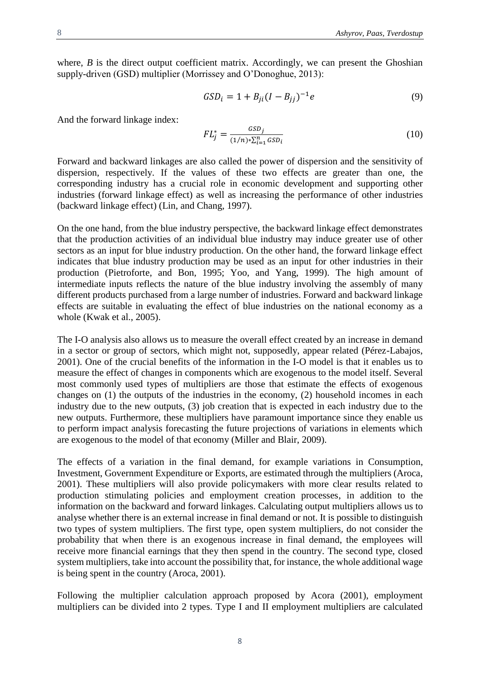where,  $B$  is the direct output coefficient matrix. Accordingly, we can present the Ghoshian supply-driven (GSD) multiplier (Morrissey and O'Donoghue, 2013):

$$
GSD_i = 1 + B_{ji}(I - B_{jj})^{-1}e
$$
\n(9)

And the forward linkage index:

$$
FL_j^* = \frac{GSD_j}{(1/n) * \sum_{i=1}^n GSD_i}
$$
 (10)

Forward and backward linkages are also called the power of dispersion and the sensitivity of dispersion, respectively. If the values of these two effects are greater than one, the corresponding industry has a crucial role in economic development and supporting other industries (forward linkage effect) as well as increasing the performance of other industries (backward linkage effect) (Lin, and Chang, 1997).

On the one hand, from the blue industry perspective, the backward linkage effect demonstrates that the production activities of an individual blue industry may induce greater use of other sectors as an input for blue industry production. On the other hand, the forward linkage effect indicates that blue industry production may be used as an input for other industries in their production (Pietroforte, and Bon, 1995; Yoo, and Yang, 1999). The high amount of intermediate inputs reflects the nature of the blue industry involving the assembly of many different products purchased from a large number of industries. Forward and backward linkage effects are suitable in evaluating the effect of blue industries on the national economy as a whole (Kwak et al., 2005).

The I-O analysis also allows us to measure the overall effect created by an increase in demand in a sector or group of sectors, which might not, supposedly, appear related (Pérez-Labajos, 2001). One of the crucial benefits of the information in the I-O model is that it enables us to measure the effect of changes in components which are exogenous to the model itself. Several most commonly used types of multipliers are those that estimate the effects of exogenous changes on (1) the outputs of the industries in the economy, (2) household incomes in each industry due to the new outputs, (3) job creation that is expected in each industry due to the new outputs. Furthermore, these multipliers have paramount importance since they enable us to perform impact analysis forecasting the future projections of variations in elements which are exogenous to the model of that economy (Miller and Blair, 2009).

The effects of a variation in the final demand, for example variations in Consumption, Investment, Government Expenditure or Exports, are estimated through the multipliers (Aroca, 2001). These multipliers will also provide policymakers with more clear results related to production stimulating policies and employment creation processes, in addition to the information on the backward and forward linkages. Calculating output multipliers allows us to analyse whether there is an external increase in final demand or not. It is possible to distinguish two types of system multipliers. The first type, open system multipliers, do not consider the probability that when there is an exogenous increase in final demand, the employees will receive more financial earnings that they then spend in the country. The second type, closed system multipliers, take into account the possibility that, for instance, the whole additional wage is being spent in the country (Aroca, 2001).

Following the multiplier calculation approach proposed by Acora (2001), employment multipliers can be divided into 2 types. Type I and II employment multipliers are calculated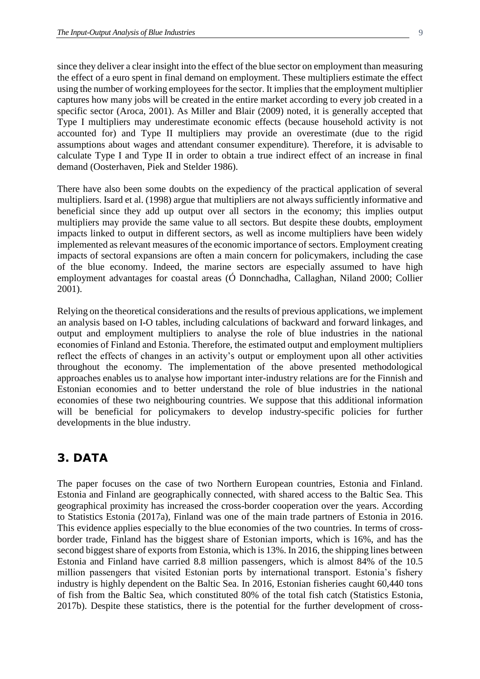since they deliver a clear insight into the effect of the blue sector on employment than measuring the effect of a euro spent in final demand on employment. These multipliers estimate the effect using the number of working employees for the sector. It implies that the employment multiplier captures how many jobs will be created in the entire market according to every job created in a specific sector (Aroca, 2001). As Miller and Blair (2009) noted, it is generally accepted that Type I multipliers may underestimate economic effects (because household activity is not accounted for) and Type II multipliers may provide an overestimate (due to the rigid assumptions about wages and attendant consumer expenditure). Therefore, it is advisable to calculate Type I and Type II in order to obtain a true indirect effect of an increase in final demand (Oosterhaven, Piek and Stelder 1986).

There have also been some doubts on the expediency of the practical application of several multipliers. Isard et al. (1998) argue that multipliers are not always sufficiently informative and beneficial since they add up output over all sectors in the economy; this implies output multipliers may provide the same value to all sectors. But despite these doubts, employment impacts linked to output in different sectors, as well as income multipliers have been widely implemented as relevant measures of the economic importance of sectors. Employment creating impacts of sectoral expansions are often a main concern for policymakers, including the case of the blue economy. Indeed, the marine sectors are especially assumed to have high employment advantages for coastal areas (Ó Donnchadha, Callaghan, Niland 2000; Collier 2001).

Relying on the theoretical considerations and the results of previous applications, we implement an analysis based on I-O tables, including calculations of backward and forward linkages, and output and employment multipliers to analyse the role of blue industries in the national economies of Finland and Estonia. Therefore, the estimated output and employment multipliers reflect the effects of changes in an activity's output or employment upon all other activities throughout the economy. The implementation of the above presented methodological approaches enables us to analyse how important inter-industry relations are for the Finnish and Estonian economies and to better understand the role of blue industries in the national economies of these two neighbouring countries. We suppose that this additional information will be beneficial for policymakers to develop industry-specific policies for further developments in the blue industry.

### **3. DATA**

The paper focuses on the case of two Northern European countries, Estonia and Finland. Estonia and Finland are geographically connected, with shared access to the Baltic Sea. This geographical proximity has increased the cross-border cooperation over the years. According to Statistics Estonia (2017a), Finland was one of the main trade partners of Estonia in 2016. This evidence applies especially to the blue economies of the two countries. In terms of crossborder trade, Finland has the biggest share of Estonian imports, which is 16%, and has the second biggest share of exports from Estonia, which is 13%. In 2016, the shipping lines between Estonia and Finland have carried 8.8 million passengers, which is almost 84% of the 10.5 million passengers that visited Estonian ports by international transport. Estonia's fishery industry is highly dependent on the Baltic Sea. In 2016, Estonian fisheries caught 60,440 tons of fish from the Baltic Sea, which constituted 80% of the total fish catch (Statistics Estonia, 2017b). Despite these statistics, there is the potential for the further development of cross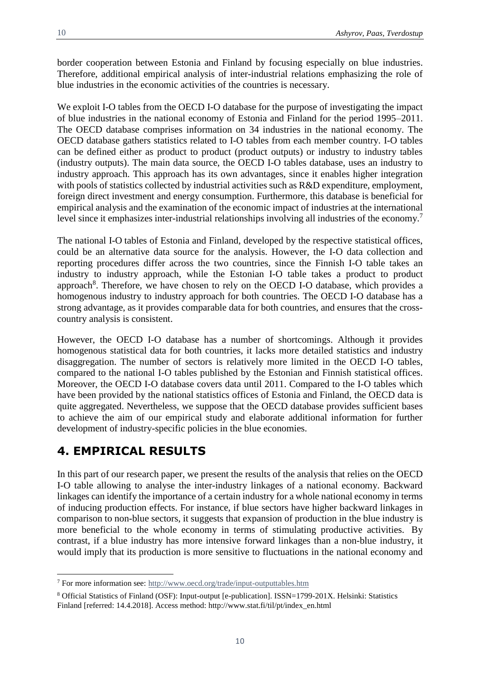border cooperation between Estonia and Finland by focusing especially on blue industries. Therefore, additional empirical analysis of inter-industrial relations emphasizing the role of blue industries in the economic activities of the countries is necessary.

We exploit I-O tables from the OECD I-O database for the purpose of investigating the impact of blue industries in the national economy of Estonia and Finland for the period 1995–2011. The OECD database comprises information on 34 industries in the national economy. The OECD database gathers statistics related to I-O tables from each member country. I-O tables can be defined either as product to product (product outputs) or industry to industry tables (industry outputs). The main data source, the OECD I-O tables database, uses an industry to industry approach. This approach has its own advantages, since it enables higher integration with pools of statistics collected by industrial activities such as R&D expenditure, employment, foreign direct investment and energy consumption. Furthermore, this database is beneficial for empirical analysis and the examination of the economic impact of industries at the international level since it emphasizes inter-industrial relationships involving all industries of the economy.<sup>7</sup>

The national I-O tables of Estonia and Finland, developed by the respective statistical offices, could be an alternative data source for the analysis. However, the I-O data collection and reporting procedures differ across the two countries, since the Finnish I-O table takes an industry to industry approach, while the Estonian I-O table takes a product to product approach<sup>8</sup>. Therefore, we have chosen to rely on the OECD I-O database, which provides a homogenous industry to industry approach for both countries. The OECD I-O database has a strong advantage, as it provides comparable data for both countries, and ensures that the crosscountry analysis is consistent.

However, the OECD I-O database has a number of shortcomings. Although it provides homogenous statistical data for both countries, it lacks more detailed statistics and industry disaggregation. The number of sectors is relatively more limited in the OECD I-O tables, compared to the national I-O tables published by the Estonian and Finnish statistical offices. Moreover, the OECD I-O database covers data until 2011. Compared to the I-O tables which have been provided by the national statistics offices of Estonia and Finland, the OECD data is quite aggregated. Nevertheless, we suppose that the OECD database provides sufficient bases to achieve the aim of our empirical study and elaborate additional information for further development of industry-specific policies in the blue economies.

## **4. EMPIRICAL RESULTS**

 $\overline{a}$ 

In this part of our research paper, we present the results of the analysis that relies on the OECD I-O table allowing to analyse the inter-industry linkages of a national economy. Backward linkages can identify the importance of a certain industry for a whole national economy in terms of inducing production effects. For instance, if blue sectors have higher backward linkages in comparison to non-blue sectors, it suggests that expansion of production in the blue industry is more beneficial to the whole economy in terms of stimulating productive activities. By contrast, if a blue industry has more intensive forward linkages than a non-blue industry, it would imply that its production is more sensitive to fluctuations in the national economy and

<sup>7</sup> For more information see:<http://www.oecd.org/trade/input-outputtables.htm>

<sup>8</sup> Official Statistics of Finland (OSF): Input-output [e-publication]. ISSN=1799-201X. Helsinki: Statistics Finland [referred: 14.4.2018]. Access method: http://www.stat.fi/til/pt/index\_en.html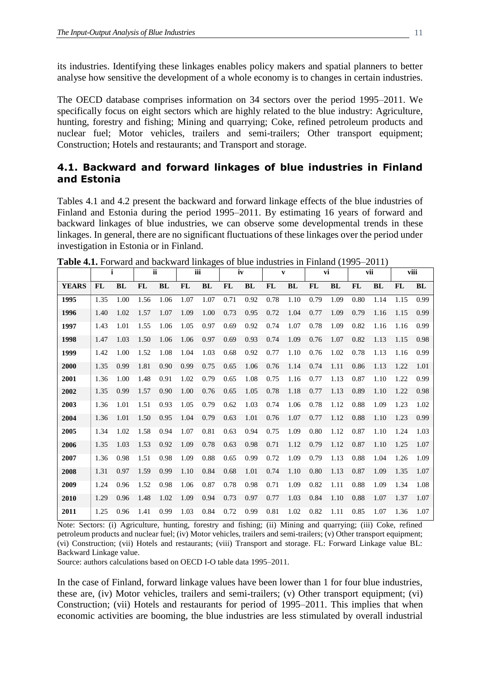its industries. Identifying these linkages enables policy makers and spatial planners to better analyse how sensitive the development of a whole economy is to changes in certain industries.

The OECD database comprises information on 34 sectors over the period 1995–2011. We specifically focus on eight sectors which are highly related to the blue industry: Agriculture, hunting, forestry and fishing; Mining and quarrying; Coke, refined petroleum products and nuclear fuel; Motor vehicles, trailers and semi-trailers; Other transport equipment; Construction; Hotels and restaurants; and Transport and storage.

### **4.1. Backward and forward linkages of blue industries in Finland and Estonia**

Tables 4.1 and 4.2 present the backward and forward linkage effects of the blue industries of Finland and Estonia during the period 1995–2011. By estimating 16 years of forward and backward linkages of blue industries, we can observe some developmental trends in these linkages. In general, there are no significant fluctuations of these linkages over the period under investigation in Estonia or in Finland.

|              |           | i    |      | <b>ii</b> |      | iii  | iv        |           |           | $\mathbf{v}$ |      | vi   |           | vii       |           | viii      |
|--------------|-----------|------|------|-----------|------|------|-----------|-----------|-----------|--------------|------|------|-----------|-----------|-----------|-----------|
| <b>YEARS</b> | <b>FL</b> | BL   | FL   | BL        | FL   | BL   | <b>FL</b> | <b>BL</b> | <b>FL</b> | BL           | FL   | BL   | <b>FL</b> | <b>BL</b> | <b>FL</b> | <b>BL</b> |
| 1995         | 1.35      | 1.00 | 1.56 | 1.06      | 1.07 | 1.07 | 0.71      | 0.92      | 0.78      | 1.10         | 0.79 | 1.09 | 0.80      | 1.14      | 1.15      | 0.99      |
| 1996         | 1.40      | 1.02 | 1.57 | 1.07      | 1.09 | 1.00 | 0.73      | 0.95      | 0.72      | 1.04         | 0.77 | 1.09 | 0.79      | 1.16      | 1.15      | 0.99      |
| 1997         | 1.43      | 1.01 | 1.55 | 1.06      | 1.05 | 0.97 | 0.69      | 0.92      | 0.74      | 1.07         | 0.78 | 1.09 | 0.82      | 1.16      | 1.16      | 0.99      |
| 1998         | 1.47      | 1.03 | 1.50 | 1.06      | 1.06 | 0.97 | 0.69      | 0.93      | 0.74      | 1.09         | 0.76 | 1.07 | 0.82      | 1.13      | 1.15      | 0.98      |
| 1999         | 1.42      | 1.00 | 1.52 | 1.08      | 1.04 | 1.03 | 0.68      | 0.92      | 0.77      | 1.10         | 0.76 | 1.02 | 0.78      | 1.13      | 1.16      | 0.99      |
| 2000         | 1.35      | 0.99 | 1.81 | 0.90      | 0.99 | 0.75 | 0.65      | 1.06      | 0.76      | 1.14         | 0.74 | 1.11 | 0.86      | 1.13      | 1.22      | 1.01      |
| 2001         | 1.36      | 1.00 | 1.48 | 0.91      | 1.02 | 0.79 | 0.65      | 1.08      | 0.75      | 1.16         | 0.77 | 1.13 | 0.87      | 1.10      | 1.22      | 0.99      |
| 2002         | 1.35      | 0.99 | 1.57 | 0.90      | 1.00 | 0.76 | 0.65      | 1.05      | 0.78      | 1.18         | 0.77 | 1.13 | 0.89      | 1.10      | 1.22      | 0.98      |
| 2003         | 1.36      | 1.01 | 1.51 | 0.93      | 1.05 | 0.79 | 0.62      | 1.03      | 0.74      | 1.06         | 0.78 | 1.12 | 0.88      | 1.09      | 1.23      | 1.02      |
| 2004         | 1.36      | 1.01 | 1.50 | 0.95      | 1.04 | 0.79 | 0.63      | 1.01      | 0.76      | 1.07         | 0.77 | 1.12 | 0.88      | 1.10      | 1.23      | 0.99      |
| 2005         | 1.34      | 1.02 | 1.58 | 0.94      | 1.07 | 0.81 | 0.63      | 0.94      | 0.75      | 1.09         | 0.80 | 1.12 | 0.87      | 1.10      | 1.24      | 1.03      |
| 2006         | 1.35      | 1.03 | 1.53 | 0.92      | 1.09 | 0.78 | 0.63      | 0.98      | 0.71      | 1.12         | 0.79 | 1.12 | 0.87      | 1.10      | 1.25      | 1.07      |
| 2007         | 1.36      | 0.98 | 1.51 | 0.98      | 1.09 | 0.88 | 0.65      | 0.99      | 0.72      | 1.09         | 0.79 | 1.13 | 0.88      | 1.04      | 1.26      | 1.09      |
| 2008         | 1.31      | 0.97 | 1.59 | 0.99      | 1.10 | 0.84 | 0.68      | 1.01      | 0.74      | 1.10         | 0.80 | 1.13 | 0.87      | 1.09      | 1.35      | 1.07      |
| 2009         | 1.24      | 0.96 | 1.52 | 0.98      | 1.06 | 0.87 | 0.78      | 0.98      | 0.71      | 1.09         | 0.82 | 1.11 | 0.88      | 1.09      | 1.34      | 1.08      |
| 2010         | 1.29      | 0.96 | 1.48 | 1.02      | 1.09 | 0.94 | 0.73      | 0.97      | 0.77      | 1.03         | 0.84 | 1.10 | 0.88      | 1.07      | 1.37      | 1.07      |
| 2011         | 1.25      | 0.96 | 1.41 | 0.99      | 1.03 | 0.84 | 0.72      | 0.99      | 0.81      | 1.02         | 0.82 | 1.11 | 0.85      | 1.07      | 1.36      | 1.07      |

**Table 4.1.** Forward and backward linkages of blue industries in Finland (1995–2011)

Note: Sectors: (i) Agriculture, hunting, forestry and fishing; (ii) Mining and quarrying; (iii) Coke, refined petroleum products and nuclear fuel; (iv) Motor vehicles, trailers and semi-trailers; (v) Other transport equipment; (vi) Construction; (vii) Hotels and restaurants; (viii) Transport and storage. FL: Forward Linkage value BL: Backward Linkage value.

Source: authors calculations based on OECD I-O table data 1995–2011.

In the case of Finland, forward linkage values have been lower than 1 for four blue industries, these are, (iv) Motor vehicles, trailers and semi-trailers; (v) Other transport equipment; (vi) Construction; (vii) Hotels and restaurants for period of 1995–2011. This implies that when economic activities are booming, the blue industries are less stimulated by overall industrial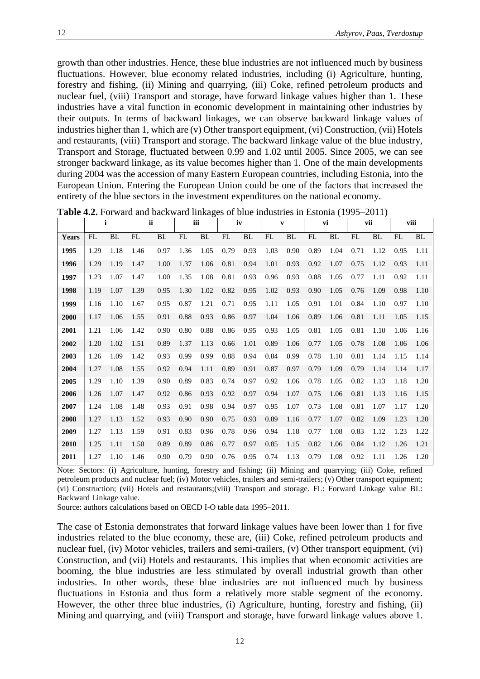growth than other industries. Hence, these blue industries are not influenced much by business fluctuations. However, blue economy related industries, including (i) Agriculture, hunting, forestry and fishing, (ii) Mining and quarrying, (iii) Coke, refined petroleum products and

nuclear fuel, (viii) Transport and storage, have forward linkage values higher than 1. These industries have a vital function in economic development in maintaining other industries by their outputs. In terms of backward linkages, we can observe backward linkage values of industries higher than 1, which are (v) Other transport equipment, (vi) Construction, (vii) Hotels and restaurants, (viii) Transport and storage. The backward linkage value of the blue industry, Transport and Storage, fluctuated between 0.99 and 1.02 until 2005. Since 2005, we can see stronger backward linkage, as its value becomes higher than 1. One of the main developments during 2004 was the accession of many Eastern European countries, including Estonia, into the European Union. Entering the European Union could be one of the factors that increased the entirety of the blue sectors in the investment expenditures on the national economy.

|       | $\mathbf i$ |           | <b>ii</b><br>iii |      |      | iv   |      | $\mathbf{v}$ |      | vi   |      | vii  |      | viii |      |           |
|-------|-------------|-----------|------------------|------|------|------|------|--------------|------|------|------|------|------|------|------|-----------|
| Years | FL          | <b>BL</b> | FL               | BL   | FL   | BL   | FL   | <b>BL</b>    | FL   | BL   | FL   | BL   | FL   | BL   | FL   | <b>BL</b> |
| 1995  | 1.29        | 1.18      | 1.46             | 0.97 | 1.36 | 1.05 | 0.79 | 0.93         | 1.03 | 0.90 | 0.89 | 1.04 | 0.71 | 1.12 | 0.95 | 1.11      |
| 1996  | 1.29        | 1.19      | 1.47             | 1.00 | 1.37 | 1.06 | 0.81 | 0.94         | 1.01 | 0.93 | 0.92 | 1.07 | 0.75 | 1.12 | 0.93 | 1.11      |
| 1997  | 1.23        | 1.07      | 1.47             | 1.00 | 1.35 | 1.08 | 0.81 | 0.93         | 0.96 | 0.93 | 0.88 | 1.05 | 0.77 | 1.11 | 0.92 | 1.11      |
| 1998  | 1.19        | 1.07      | 1.39             | 0.95 | 1.30 | 1.02 | 0.82 | 0.95         | 1.02 | 0.93 | 0.90 | 1.05 | 0.76 | 1.09 | 0.98 | 1.10      |
| 1999  | 1.16        | 1.10      | 1.67             | 0.95 | 0.87 | 1.21 | 0.71 | 0.95         | 1.11 | 1.05 | 0.91 | 1.01 | 0.84 | 1.10 | 0.97 | 1.10      |
| 2000  | 1.17        | 1.06      | 1.55             | 0.91 | 0.88 | 0.93 | 0.86 | 0.97         | 1.04 | 1.06 | 0.89 | 1.06 | 0.81 | 1.11 | 1.05 | 1.15      |
| 2001  | 1.21        | 1.06      | 1.42             | 0.90 | 0.80 | 0.88 | 0.86 | 0.95         | 0.93 | 1.05 | 0.81 | 1.05 | 0.81 | 1.10 | 1.06 | 1.16      |
| 2002  | 1.20        | 1.02      | 1.51             | 0.89 | 1.37 | 1.13 | 0.66 | 1.01         | 0.89 | 1.06 | 0.77 | 1.05 | 0.78 | 1.08 | 1.06 | 1.06      |
| 2003  | 1.26        | 1.09      | 1.42             | 0.93 | 0.99 | 0.99 | 0.88 | 0.94         | 0.84 | 0.99 | 0.78 | 1.10 | 0.81 | 1.14 | 1.15 | 1.14      |
| 2004  | 1.27        | 1.08      | 1.55             | 0.92 | 0.94 | 1.11 | 0.89 | 0.91         | 0.87 | 0.97 | 0.79 | 1.09 | 0.79 | 1.14 | 1.14 | 1.17      |
| 2005  | 1.29        | 1.10      | 1.39             | 0.90 | 0.89 | 0.83 | 0.74 | 0.97         | 0.92 | 1.06 | 0.78 | 1.05 | 0.82 | 1.13 | 1.18 | 1.20      |
| 2006  | 1.26        | 1.07      | 1.47             | 0.92 | 0.86 | 0.93 | 0.92 | 0.97         | 0.94 | 1.07 | 0.75 | 1.06 | 0.81 | 1.13 | 1.16 | 1.15      |
| 2007  | 1.24        | 1.08      | 1.48             | 0.93 | 0.91 | 0.98 | 0.94 | 0.97         | 0.95 | 1.07 | 0.73 | 1.08 | 0.81 | 1.07 | 1.17 | 1.20      |
| 2008  | 1.27        | 1.13      | 1.52             | 0.93 | 0.90 | 0.90 | 0.75 | 0.93         | 0.89 | 1.16 | 0.77 | 1.07 | 0.82 | 1.09 | 1.23 | 1.20      |
| 2009  | 1.27        | 1.13      | 1.59             | 0.91 | 0.83 | 0.96 | 0.78 | 0.96         | 0.94 | 1.18 | 0.77 | 1.08 | 0.83 | 1.12 | 1.23 | 1.22      |
| 2010  | 1.25        | 1.11      | 1.50             | 0.89 | 0.89 | 0.86 | 0.77 | 0.97         | 0.85 | 1.15 | 0.82 | 1.06 | 0.84 | 1.12 | 1.26 | 1.21      |
| 2011  | 1.27        | 1.10      | 1.46             | 0.90 | 0.79 | 0.90 | 0.76 | 0.95         | 0.74 | 1.13 | 0.79 | 1.08 | 0.92 | 1.11 | 1.26 | 1.20      |

**Table 4.2.** Forward and backward linkages of blue industries in Estonia (1995–2011)

Note: Sectors: (i) Agriculture, hunting, forestry and fishing; (ii) Mining and quarrying; (iii) Coke, refined petroleum products and nuclear fuel; (iv) Motor vehicles, trailers and semi-trailers; (v) Other transport equipment; (vi) Construction; (vii) Hotels and restaurants;(viii) Transport and storage. FL: Forward Linkage value BL: Backward Linkage value.

Source: authors calculations based on OECD I-O table data 1995–2011.

The case of Estonia demonstrates that forward linkage values have been lower than 1 for five industries related to the blue economy, these are, (iii) Coke, refined petroleum products and nuclear fuel, (iv) Motor vehicles, trailers and semi-trailers, (v) Other transport equipment, (vi) Construction, and (vii) Hotels and restaurants. This implies that when economic activities are booming, the blue industries are less stimulated by overall industrial growth than other industries. In other words, these blue industries are not influenced much by business fluctuations in Estonia and thus form a relatively more stable segment of the economy. However, the other three blue industries, (i) Agriculture, hunting, forestry and fishing, (ii) Mining and quarrying, and (viii) Transport and storage, have forward linkage values above 1.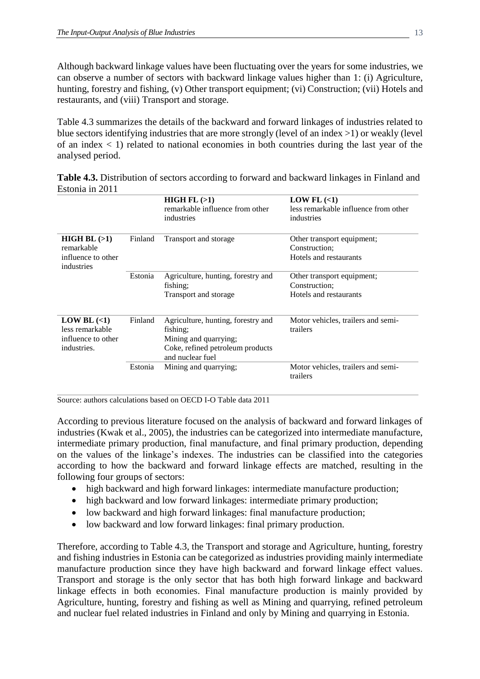Although backward linkage values have been fluctuating over the years for some industries, we can observe a number of sectors with backward linkage values higher than 1: (i) Agriculture, hunting, forestry and fishing, (v) Other transport equipment; (vi) Construction; (vii) Hotels and restaurants, and (viii) Transport and storage.

Table 4.3 summarizes the details of the backward and forward linkages of industries related to blue sectors identifying industries that are more strongly (level of an index >1) or weakly (level of an index  $\langle 1 \rangle$  related to national economies in both countries during the last year of the analysed period.

**Table 4.3.** Distribution of sectors according to forward and backward linkages in Finland and Estonia in 2011

|                                                                           |         | HIGH FL(>1)<br>remarkable influence from other<br>industries                                                                    | LOW FL $(\leq 1)$<br>less remarkable influence from other<br>industries |
|---------------------------------------------------------------------------|---------|---------------------------------------------------------------------------------------------------------------------------------|-------------------------------------------------------------------------|
| HIGH BL (>1)<br>remarkable<br>influence to other<br>industries            | Finland | Transport and storage                                                                                                           | Other transport equipment;<br>Construction:<br>Hotels and restaurants   |
|                                                                           | Estonia | Agriculture, hunting, forestry and<br>fishing;<br>Transport and storage                                                         | Other transport equipment;<br>Construction:<br>Hotels and restaurants   |
| LOW BL $(\leq 1)$<br>less remarkable<br>influence to other<br>industries. | Finland | Agriculture, hunting, forestry and<br>fishing;<br>Mining and quarrying;<br>Coke, refined petroleum products<br>and nuclear fuel | Motor vehicles, trailers and semi-<br>trailers                          |
|                                                                           | Estonia | Mining and quarrying;                                                                                                           | Motor vehicles, trailers and semi-<br>trailers                          |

Source: authors calculations based on OECD I-O Table data 2011

According to previous literature focused on the analysis of backward and forward linkages of industries (Kwak et al., 2005), the industries can be categorized into intermediate manufacture, intermediate primary production, final manufacture, and final primary production, depending on the values of the linkage's indexes. The industries can be classified into the categories according to how the backward and forward linkage effects are matched, resulting in the following four groups of sectors:

- high backward and high forward linkages: intermediate manufacture production;
- high backward and low forward linkages: intermediate primary production;
- low backward and high forward linkages: final manufacture production;
- low backward and low forward linkages: final primary production.

Therefore, according to Table 4.3, the Transport and storage and Agriculture, hunting, forestry and fishing industries in Estonia can be categorized as industries providing mainly intermediate manufacture production since they have high backward and forward linkage effect values. Transport and storage is the only sector that has both high forward linkage and backward linkage effects in both economies. Final manufacture production is mainly provided by Agriculture, hunting, forestry and fishing as well as Mining and quarrying, refined petroleum and nuclear fuel related industries in Finland and only by Mining and quarrying in Estonia.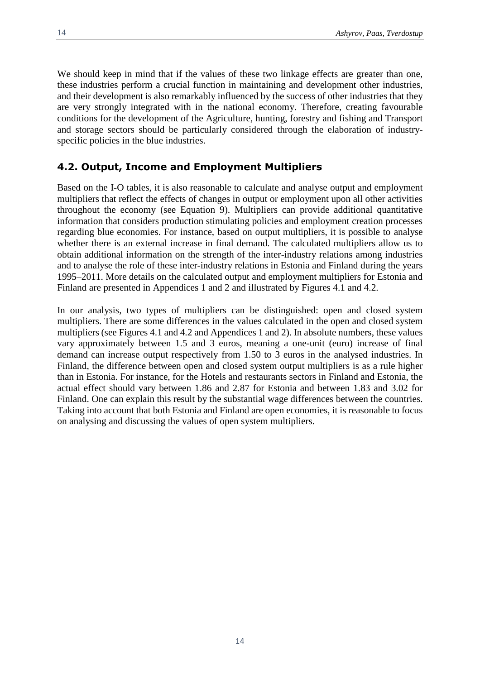We should keep in mind that if the values of these two linkage effects are greater than one, these industries perform a crucial function in maintaining and development other industries, and their development is also remarkably influenced by the success of other industries that they are very strongly integrated with in the national economy. Therefore, creating favourable conditions for the development of the Agriculture, hunting, forestry and fishing and Transport and storage sectors should be particularly considered through the elaboration of industryspecific policies in the blue industries.

#### **4.2. Output, Income and Employment Multipliers**

Based on the I-O tables, it is also reasonable to calculate and analyse output and employment multipliers that reflect the effects of changes in output or employment upon all other activities throughout the economy (see Equation 9). Multipliers can provide additional quantitative information that considers production stimulating policies and employment creation processes regarding blue economies. For instance, based on output multipliers, it is possible to analyse whether there is an external increase in final demand. The calculated multipliers allow us to obtain additional information on the strength of the inter-industry relations among industries and to analyse the role of these inter-industry relations in Estonia and Finland during the years 1995–2011. More details on the calculated output and employment multipliers for Estonia and Finland are presented in Appendices 1 and 2 and illustrated by Figures 4.1 and 4.2.

In our analysis, two types of multipliers can be distinguished: open and closed system multipliers. There are some differences in the values calculated in the open and closed system multipliers (see Figures 4.1 and 4.2 and Appendices 1 and 2). In absolute numbers, these values vary approximately between 1.5 and 3 euros, meaning a one-unit (euro) increase of final demand can increase output respectively from 1.50 to 3 euros in the analysed industries. In Finland, the difference between open and closed system output multipliers is as a rule higher than in Estonia. For instance, for the Hotels and restaurants sectors in Finland and Estonia, the actual effect should vary between 1.86 and 2.87 for Estonia and between 1.83 and 3.02 for Finland. One can explain this result by the substantial wage differences between the countries. Taking into account that both Estonia and Finland are open economies, it is reasonable to focus on analysing and discussing the values of open system multipliers.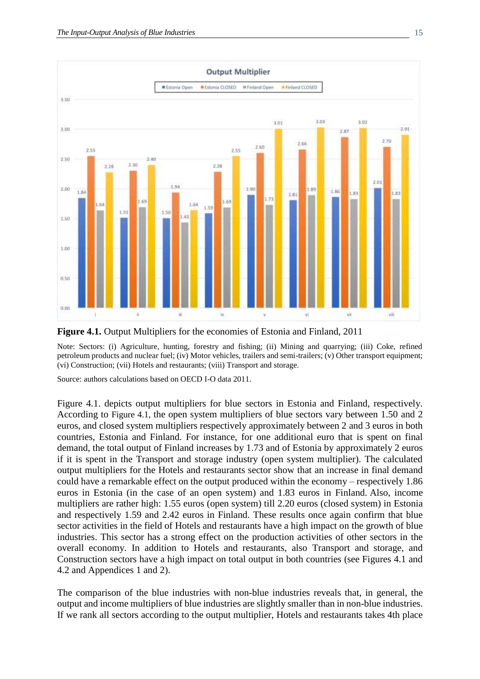

**Figure 4.1.** Output Multipliers for the economies of Estonia and Finland, 2011

Note: Sectors: (i) Agriculture, hunting, forestry and fishing; (ii) Mining and quarrying; (iii) Coke, refined petroleum products and nuclear fuel; (iv) Motor vehicles, trailers and semi-trailers; (v) Other transport equipment; (vi) Construction; (vii) Hotels and restaurants; (viii) Transport and storage.

Source: authors calculations based on OECD I-O data 2011.

Figure 4.1. depicts output multipliers for blue sectors in Estonia and Finland, respectively. According to Figure 4.1, the open system multipliers of blue sectors vary between 1.50 and 2 euros, and closed system multipliers respectively approximately between 2 and 3 euros in both countries, Estonia and Finland. For instance, for one additional euro that is spent on final demand, the total output of Finland increases by 1.73 and of Estonia by approximately 2 euros if it is spent in the Transport and storage industry (open system multiplier). The calculated output multipliers for the Hotels and restaurants sector show that an increase in final demand could have a remarkable effect on the output produced within the economy – respectively 1.86 euros in Estonia (in the case of an open system) and 1.83 euros in Finland. Also, income multipliers are rather high: 1.55 euros (open system) till 2.20 euros (closed system) in Estonia and respectively 1.59 and 2.42 euros in Finland. These results once again confirm that blue sector activities in the field of Hotels and restaurants have a high impact on the growth of blue industries. This sector has a strong effect on the production activities of other sectors in the overall economy. In addition to Hotels and restaurants, also Transport and storage, and Construction sectors have a high impact on total output in both countries (see Figures 4.1 and 4.2 and Appendices 1 and 2).

The comparison of the blue industries with non-blue industries reveals that, in general, the output and income multipliers of blue industries are slightly smaller than in non-blue industries. If we rank all sectors according to the output multiplier, Hotels and restaurants takes 4th place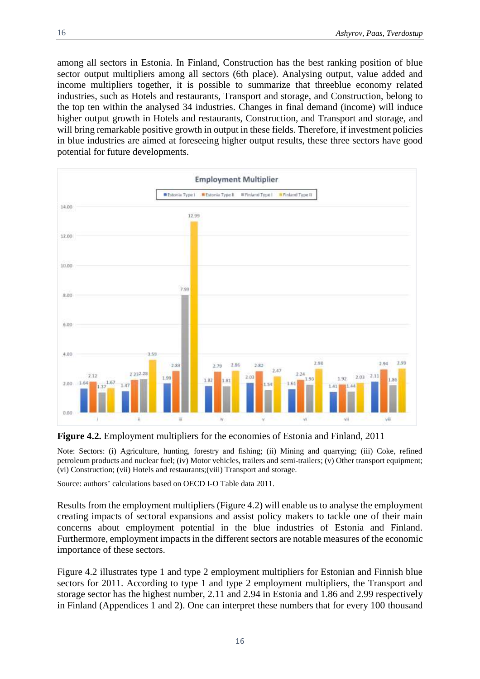among all sectors in Estonia. In Finland, Construction has the best ranking position of blue sector output multipliers among all sectors (6th place). Analysing output, value added and income multipliers together, it is possible to summarize that threeblue economy related industries, such as Hotels and restaurants, Transport and storage, and Construction, belong to the top ten within the analysed 34 industries. Changes in final demand (income) will induce higher output growth in Hotels and restaurants, Construction, and Transport and storage, and will bring remarkable positive growth in output in these fields. Therefore, if investment policies in blue industries are aimed at foreseeing higher output results, these three sectors have good potential for future developments.



**Figure 4.2.** Employment multipliers for the economies of Estonia and Finland, 2011

Note: Sectors: (i) Agriculture, hunting, forestry and fishing; (ii) Mining and quarrying; (iii) Coke, refined petroleum products and nuclear fuel; (iv) Motor vehicles, trailers and semi-trailers; (v) Other transport equipment; (vi) Construction; (vii) Hotels and restaurants;(viii) Transport and storage.

Source: authors' calculations based on OECD I-O Table data 2011.

Results from the employment multipliers (Figure 4.2) will enable us to analyse the employment creating impacts of sectoral expansions and assist policy makers to tackle one of their main concerns about employment potential in the blue industries of Estonia and Finland. Furthermore, employment impacts in the different sectors are notable measures of the economic importance of these sectors.

Figure 4.2 illustrates type 1 and type 2 employment multipliers for Estonian and Finnish blue sectors for 2011. According to type 1 and type 2 employment multipliers, the Transport and storage sector has the highest number, 2.11 and 2.94 in Estonia and 1.86 and 2.99 respectively in Finland (Appendices 1 and 2). One can interpret these numbers that for every 100 thousand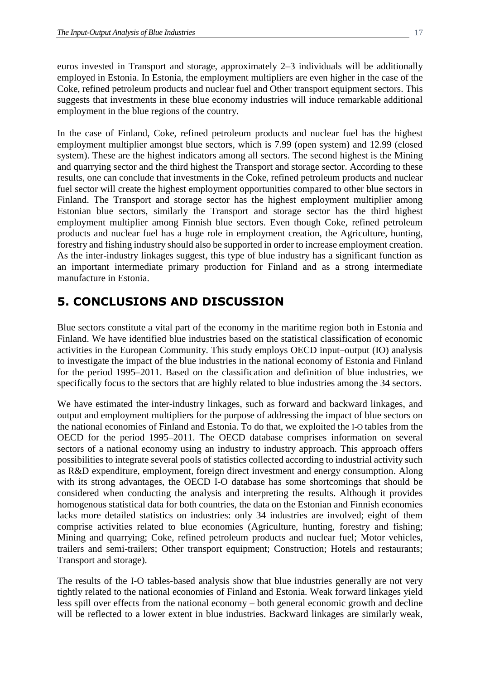euros invested in Transport and storage, approximately 2–3 individuals will be additionally employed in Estonia. In Estonia, the employment multipliers are even higher in the case of the Coke, refined petroleum products and nuclear fuel and Other transport equipment sectors. This suggests that investments in these blue economy industries will induce remarkable additional employment in the blue regions of the country.

In the case of Finland, Coke, refined petroleum products and nuclear fuel has the highest employment multiplier amongst blue sectors, which is 7.99 (open system) and 12.99 (closed system). These are the highest indicators among all sectors. The second highest is the Mining and quarrying sector and the third highest the Transport and storage sector. According to these results, one can conclude that investments in the Coke, refined petroleum products and nuclear fuel sector will create the highest employment opportunities compared to other blue sectors in Finland. The Transport and storage sector has the highest employment multiplier among Estonian blue sectors, similarly the Transport and storage sector has the third highest employment multiplier among Finnish blue sectors. Even though Coke, refined petroleum products and nuclear fuel has a huge role in employment creation, the Agriculture, hunting, forestry and fishing industry should also be supported in order to increase employment creation. As the inter-industry linkages suggest, this type of blue industry has a significant function as an important intermediate primary production for Finland and as a strong intermediate manufacture in Estonia.

### **5. CONCLUSIONS AND DISCUSSION**

Blue sectors constitute a vital part of the economy in the maritime region both in Estonia and Finland. We have identified blue industries based on the statistical classification of economic activities in the European Community. This study employs OECD input–output (IO) analysis to investigate the impact of the blue industries in the national economy of Estonia and Finland for the period 1995–2011. Based on the classification and definition of blue industries, we specifically focus to the sectors that are highly related to blue industries among the 34 sectors.

We have estimated the inter-industry linkages, such as forward and backward linkages, and output and employment multipliers for the purpose of addressing the impact of blue sectors on the national economies of Finland and Estonia. To do that, we exploited the I-O tables from the OECD for the period 1995–2011. The OECD database comprises information on several sectors of a national economy using an industry to industry approach. This approach offers possibilities to integrate several pools of statistics collected according to industrial activity such as R&D expenditure, employment, foreign direct investment and energy consumption. Along with its strong advantages, the OECD I-O database has some shortcomings that should be considered when conducting the analysis and interpreting the results. Although it provides homogenous statistical data for both countries, the data on the Estonian and Finnish economies lacks more detailed statistics on industries: only 34 industries are involved; eight of them comprise activities related to blue economies (Agriculture, hunting, forestry and fishing; Mining and quarrying; Coke, refined petroleum products and nuclear fuel; Motor vehicles, trailers and semi-trailers; Other transport equipment; Construction; Hotels and restaurants; Transport and storage).

The results of the I-O tables-based analysis show that blue industries generally are not very tightly related to the national economies of Finland and Estonia. Weak forward linkages yield less spill over effects from the national economy – both general economic growth and decline will be reflected to a lower extent in blue industries. Backward linkages are similarly weak,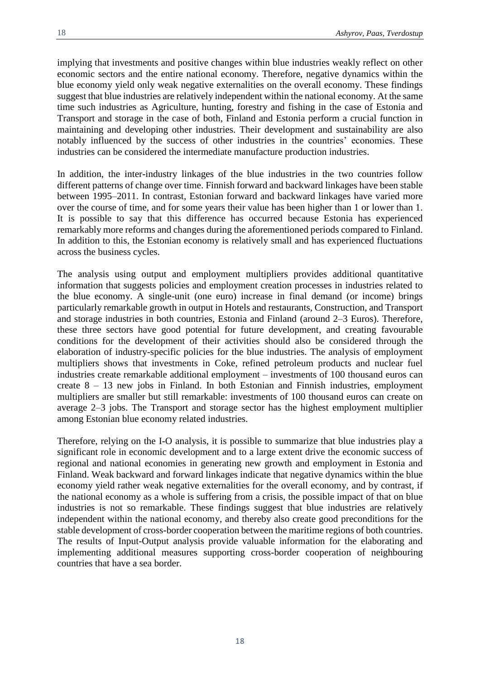implying that investments and positive changes within blue industries weakly reflect on other economic sectors and the entire national economy. Therefore, negative dynamics within the blue economy yield only weak negative externalities on the overall economy. These findings suggest that blue industries are relatively independent within the national economy. At the same time such industries as Agriculture, hunting, forestry and fishing in the case of Estonia and Transport and storage in the case of both, Finland and Estonia perform a crucial function in maintaining and developing other industries. Their development and sustainability are also notably influenced by the success of other industries in the countries' economies. These industries can be considered the intermediate manufacture production industries.

In addition, the inter-industry linkages of the blue industries in the two countries follow different patterns of change over time. Finnish forward and backward linkages have been stable between 1995–2011. In contrast, Estonian forward and backward linkages have varied more over the course of time, and for some years their value has been higher than 1 or lower than 1. It is possible to say that this difference has occurred because Estonia has experienced remarkably more reforms and changes during the aforementioned periods compared to Finland. In addition to this, the Estonian economy is relatively small and has experienced fluctuations across the business cycles.

The analysis using output and employment multipliers provides additional quantitative information that suggests policies and employment creation processes in industries related to the blue economy. A single-unit (one euro) increase in final demand (or income) brings particularly remarkable growth in output in Hotels and restaurants, Construction, and Transport and storage industries in both countries, Estonia and Finland (around 2–3 Euros). Therefore, these three sectors have good potential for future development, and creating favourable conditions for the development of their activities should also be considered through the elaboration of industry-specific policies for the blue industries. The analysis of employment multipliers shows that investments in Coke, refined petroleum products and nuclear fuel industries create remarkable additional employment – investments of 100 thousand euros can create 8 – 13 new jobs in Finland. In both Estonian and Finnish industries, employment multipliers are smaller but still remarkable: investments of 100 thousand euros can create on average 2–3 jobs. The Transport and storage sector has the highest employment multiplier among Estonian blue economy related industries.

Therefore, relying on the I-O analysis, it is possible to summarize that blue industries play a significant role in economic development and to a large extent drive the economic success of regional and national economies in generating new growth and employment in Estonia and Finland. Weak backward and forward linkages indicate that negative dynamics within the blue economy yield rather weak negative externalities for the overall economy, and by contrast, if the national economy as a whole is suffering from a crisis, the possible impact of that on blue industries is not so remarkable. These findings suggest that blue industries are relatively independent within the national economy, and thereby also create good preconditions for the stable development of cross-border cooperation between the maritime regions of both countries. The results of Input-Output analysis provide valuable information for the elaborating and implementing additional measures supporting cross-border cooperation of neighbouring countries that have a sea border.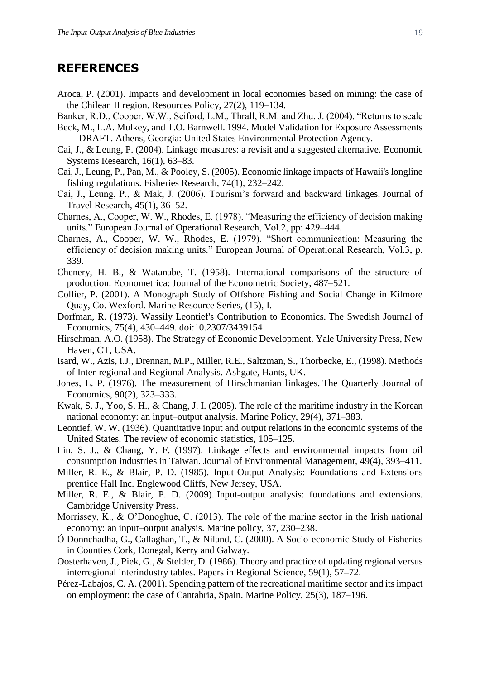#### **REFERENCES**

- Aroca, P. (2001). Impacts and development in local economies based on mining: the case of the Chilean II region. Resources Policy, 27(2), 119–134.
- Banker, R.D., Cooper, W.W., Seiford, L.M., Thrall, R.M. and Zhu, J. (2004). "Returns to scale Beck, M., L.A. Mulkey, and T.O. Barnwell. 1994. Model Validation for Exposure Assessments
- DRAFT. Athens, Georgia: United States Environmental Protection Agency.
- Cai, J., & Leung, P. (2004). Linkage measures: a revisit and a suggested alternative. Economic Systems Research, 16(1), 63–83.
- Cai, J., Leung, P., Pan, M., & Pooley, S. (2005). Economic linkage impacts of Hawaii's longline fishing regulations. Fisheries Research, 74(1), 232–242.
- Cai, J., Leung, P., & Mak, J. (2006). Tourism's forward and backward linkages. Journal of Travel Research, 45(1), 36–52.
- Charnes, A., Cooper, W. W., Rhodes, E. (1978). "Measuring the efficiency of decision making units." European Journal of Operational Research, Vol.2, pp: 429–444.
- Charnes, A., Cooper, W. W., Rhodes, E. (1979). "Short communication: Measuring the efficiency of decision making units." European Journal of Operational Research, Vol.3, p. 339.
- Chenery, H. B., & Watanabe, T. (1958). International comparisons of the structure of production. Econometrica: Journal of the Econometric Society, 487–521.
- Collier, P. (2001). A Monograph Study of Offshore Fishing and Social Change in Kilmore Quay, Co. Wexford. Marine Resource Series, (15), I.
- Dorfman, R. (1973). Wassily Leontief's Contribution to Economics. The Swedish Journal of Economics, 75(4), 430–449. doi:10.2307/3439154
- Hirschman, A.O. (1958). The Strategy of Economic Development. Yale University Press, New Haven, CT, USA.
- Isard, W., Azis, I.J., Drennan, M.P., Miller, R.E., Saltzman, S., Thorbecke, E., (1998). Methods of Inter-regional and Regional Analysis. Ashgate, Hants, UK.
- Jones, L. P. (1976). The measurement of Hirschmanian linkages. The Quarterly Journal of Economics, 90(2), 323–333.
- Kwak, S. J., Yoo, S. H., & Chang, J. I. (2005). The role of the maritime industry in the Korean national economy: an input–output analysis. Marine Policy, 29(4), 371–383.
- Leontief, W. W. (1936). Quantitative input and output relations in the economic systems of the United States. The review of economic statistics, 105–125.
- Lin, S. J., & Chang, Y. F. (1997). Linkage effects and environmental impacts from oil consumption industries in Taiwan. Journal of Environmental Management, 49(4), 393–411.
- Miller, R. E., & Blair, P. D. (1985). Input-Output Analysis: Foundations and Extensions prentice Hall Inc. Englewood Cliffs, New Jersey, USA.
- Miller, R. E., & Blair, P. D. (2009). Input-output analysis: foundations and extensions. Cambridge University Press.
- Morrissey, K., & O'Donoghue, C. (2013). The role of the marine sector in the Irish national economy: an input–output analysis. Marine policy, 37, 230–238.
- Ó Donnchadha, G., Callaghan, T., & Niland, C. (2000). A Socio-economic Study of Fisheries in Counties Cork, Donegal, Kerry and Galway.
- Oosterhaven, J., Piek, G., & Stelder, D. (1986). Theory and practice of updating regional versus interregional interindustry tables. Papers in Regional Science, 59(1), 57–72.
- Pérez-Labajos, C. A. (2001). Spending pattern of the recreational maritime sector and its impact on employment: the case of Cantabria, Spain. Marine Policy, 25(3), 187–196.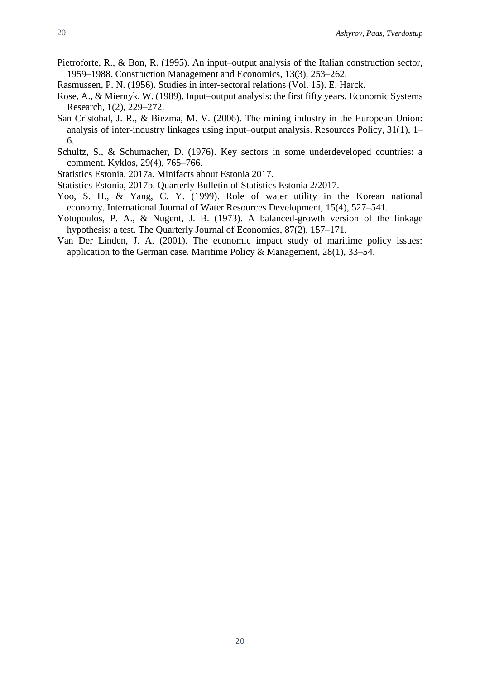- Pietroforte, R., & Bon, R. (1995). An input–output analysis of the Italian construction sector, 1959–1988. Construction Management and Economics, 13(3), 253–262.
- Rasmussen, P. N. (1956). Studies in inter-sectoral relations (Vol. 15). E. Harck.
- Rose, A., & Miernyk, W. (1989). Input–output analysis: the first fifty years. Economic Systems Research, 1(2), 229–272.
- San Cristobal, J. R., & Biezma, M. V. (2006). The mining industry in the European Union: analysis of inter-industry linkages using input–output analysis. Resources Policy, 31(1), 1– 6.
- Schultz, S., & Schumacher, D. (1976). Key sectors in some underdeveloped countries: a comment. Kyklos, 29(4), 765–766.
- Statistics Estonia, 2017a. Minifacts about Estonia 2017.
- Statistics Estonia, 2017b. Quarterly Bulletin of Statistics Estonia 2/2017.
- Yoo, S. H., & Yang, C. Y. (1999). Role of water utility in the Korean national economy. International Journal of Water Resources Development, 15(4), 527–541.
- Yotopoulos, P. A., & Nugent, J. B. (1973). A balanced-growth version of the linkage hypothesis: a test. The Quarterly Journal of Economics, 87(2), 157–171.
- Van Der Linden, J. A. (2001). The economic impact study of maritime policy issues: application to the German case. Maritime Policy & Management, 28(1), 33–54.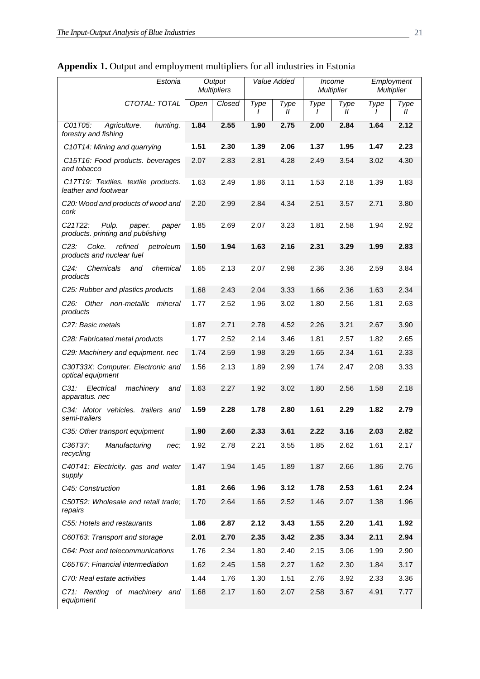| Estonia                                                                                            |      | Output<br><b>Multipliers</b> |      | Value Added           |      | Income<br><b>Multiplier</b> |           | Employment<br><b>Multiplier</b> |
|----------------------------------------------------------------------------------------------------|------|------------------------------|------|-----------------------|------|-----------------------------|-----------|---------------------------------|
| CTOTAL: TOTAL                                                                                      | Open | Closed                       | Type | Type<br>$\mathcal{U}$ | Type | Type<br>$\mathcal{U}$       | Type<br>I | Type<br>$\mathcal{U}$           |
| C01T05:<br>Agriculture.<br>hunting.<br>forestry and fishing                                        | 1.84 | 2.55                         | 1.90 | 2.75                  | 2.00 | 2.84                        | 1.64      | 2.12                            |
| C10T14: Mining and quarrying                                                                       | 1.51 | 2.30                         | 1.39 | 2.06                  | 1.37 | 1.95                        | 1.47      | 2.23                            |
| C15T16: Food products. beverages<br>and tobacco                                                    | 2.07 | 2.83                         | 2.81 | 4.28                  | 2.49 | 3.54                        | 3.02      | 4.30                            |
| C17T19: Textiles. textile products.<br>leather and footwear                                        | 1.63 | 2.49                         | 1.86 | 3.11                  | 1.53 | 2.18                        | 1.39      | 1.83                            |
| C20: Wood and products of wood and<br>cork                                                         | 2.20 | 2.99                         | 2.84 | 4.34                  | 2.51 | 3.57                        | 2.71      | 3.80                            |
| C <sub>21</sub> T <sub>22</sub> :<br>Pulp.<br>paper.<br>paper<br>products. printing and publishing | 1.85 | 2.69                         | 2.07 | 3.23                  | 1.81 | 2.58                        | 1.94      | 2.92                            |
| Coke.<br>refined<br>$C23$ :<br>petroleum<br>products and nuclear fuel                              | 1.50 | 1.94                         | 1.63 | 2.16                  | 2.31 | 3.29                        | 1.99      | 2.83                            |
| $C24$ :<br>Chemicals<br>chemical<br>and<br>products                                                | 1.65 | 2.13                         | 2.07 | 2.98                  | 2.36 | 3.36                        | 2.59      | 3.84                            |
| C25: Rubber and plastics products                                                                  | 1.68 | 2.43                         | 2.04 | 3.33                  | 1.66 | 2.36                        | 1.63      | 2.34                            |
| C <sub>26</sub> : Other non-metallic<br>mineral<br>products                                        | 1.77 | 2.52                         | 1.96 | 3.02                  | 1.80 | 2.56                        | 1.81      | 2.63                            |
| C27: Basic metals                                                                                  | 1.87 | 2.71                         | 2.78 | 4.52                  | 2.26 | 3.21                        | 2.67      | 3.90                            |
| C28: Fabricated metal products                                                                     | 1.77 | 2.52                         | 2.14 | 3.46                  | 1.81 | 2.57                        | 1.82      | 2.65                            |
| C29: Machinery and equipment. nec                                                                  | 1.74 | 2.59                         | 1.98 | 3.29                  | 1.65 | 2.34                        | 1.61      | 2.33                            |
| C30T33X: Computer. Electronic and<br>optical equipment                                             | 1.56 | 2.13                         | 1.89 | 2.99                  | 1.74 | 2.47                        | 2.08      | 3.33                            |
| C31:<br>Electrical<br>machinery<br>and<br>apparatus. nec                                           | 1.63 | 2.27                         | 1.92 | 3.02                  | 1.80 | 2.56                        | 1.58      | 2.18                            |
| C34: Motor vehicles. trailers and<br>semi-trailers                                                 | 1.59 | 2.28                         | 1.78 | 2.80                  | 1.61 | 2.29                        | 1.82      | 2.79                            |
| C35: Other transport equipment                                                                     | 1.90 | 2.60                         | 2.33 | 3.61                  | 2.22 | 3.16                        | 2.03      | 2.82                            |
| C36T37:<br>Manufacturing<br>nec;<br>recycling                                                      | 1.92 | 2.78                         | 2.21 | 3.55                  | 1.85 | 2.62                        | 1.61      | 2.17                            |
| C40T41: Electricity. gas and water<br>supply                                                       | 1.47 | 1.94                         | 1.45 | 1.89                  | 1.87 | 2.66                        | 1.86      | 2.76                            |
| C45: Construction                                                                                  | 1.81 | 2.66                         | 1.96 | 3.12                  | 1.78 | 2.53                        | 1.61      | 2.24                            |
| C50T52: Wholesale and retail trade;<br>repairs                                                     | 1.70 | 2.64                         | 1.66 | 2.52                  | 1.46 | 2.07                        | 1.38      | 1.96                            |
| C55: Hotels and restaurants                                                                        | 1.86 | 2.87                         | 2.12 | 3.43                  | 1.55 | 2.20                        | 1.41      | 1.92                            |
| C60T63: Transport and storage                                                                      | 2.01 | 2.70                         | 2.35 | 3.42                  | 2.35 | 3.34                        | 2.11      | 2.94                            |
| C64: Post and telecommunications                                                                   | 1.76 | 2.34                         | 1.80 | 2.40                  | 2.15 | 3.06                        | 1.99      | 2.90                            |
| C65T67: Financial intermediation                                                                   | 1.62 | 2.45                         | 1.58 | 2.27                  | 1.62 | 2.30                        | 1.84      | 3.17                            |
| C70: Real estate activities                                                                        | 1.44 | 1.76                         | 1.30 | 1.51                  | 2.76 | 3.92                        | 2.33      | 3.36                            |
| C71: Renting of machinery and<br>equipment                                                         | 1.68 | 2.17                         | 1.60 | 2.07                  | 2.58 | 3.67                        | 4.91      | 7.77                            |

## **Appendix 1.** Output and employment multipliers for all industries in Estonia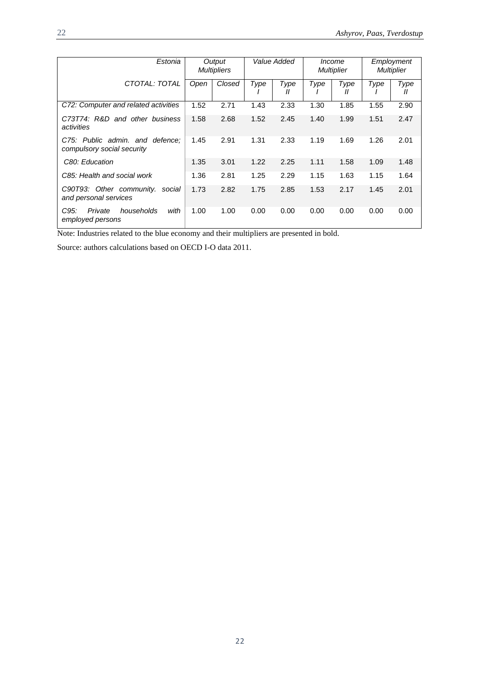| Estonia                                                       |      | Output<br><b>Multipliers</b> |      | Value Added |      | <i>Income</i><br><b>Multiplier</b> | Employment<br><b>Multiplier</b> |                           |
|---------------------------------------------------------------|------|------------------------------|------|-------------|------|------------------------------------|---------------------------------|---------------------------|
| CTOTAL: TOTAL                                                 | Open | Closed                       | Type | Type<br>Ш   | Type | Type<br>Н                          | Type                            | Type<br>$^{\prime\prime}$ |
| C72: Computer and related activities                          | 1.52 | 2.71                         | 1.43 | 2.33        | 1.30 | 1.85                               | 1.55                            | 2.90                      |
| C73T74: R&D and other business<br>activities                  | 1.58 | 2.68                         | 1.52 | 2.45        | 1.40 | 1.99                               | 1.51                            | 2.47                      |
| C75: Public admin, and defence:<br>compulsory social security | 1.45 | 2.91                         | 1.31 | 2.33        | 1.19 | 1.69                               | 1.26                            | 2.01                      |
| C80: Education                                                | 1.35 | 3.01                         | 1.22 | 2.25        | 1.11 | 1.58                               | 1.09                            | 1.48                      |
| C85: Health and social work                                   | 1.36 | 2.81                         | 1.25 | 2.29        | 1.15 | 1.63                               | 1.15                            | 1.64                      |
| C90T93: Other community. social<br>and personal services      | 1.73 | 2.82                         | 1.75 | 2.85        | 1.53 | 2.17                               | 1.45                            | 2.01                      |
| C95:<br>with<br>Private<br>households<br>employed persons     | 1.00 | 1.00                         | 0.00 | 0.00        | 0.00 | 0.00                               | 0.00                            | 0.00                      |

Note: Industries related to the blue economy and their multipliers are presented in bold.

Source: authors calculations based on OECD I-O data 2011.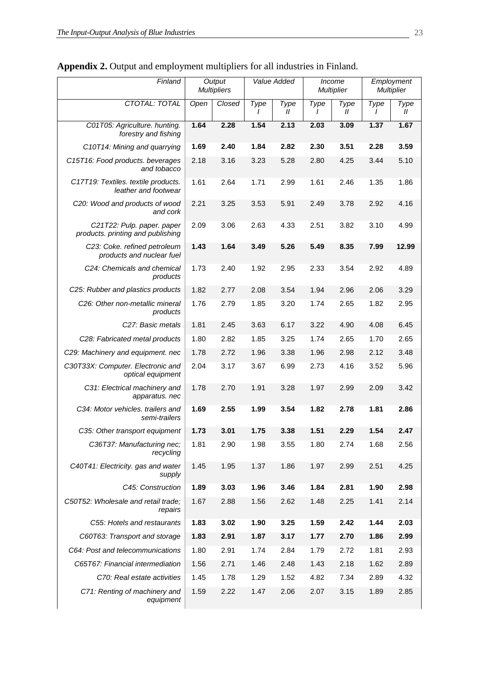| Finland                                                                                   |      | Output<br><b>Multipliers</b> |           | Value Added           |           | <i>Income</i><br><b>Multiplier</b> | Employment<br><b>Multiplier</b> |                       |
|-------------------------------------------------------------------------------------------|------|------------------------------|-----------|-----------------------|-----------|------------------------------------|---------------------------------|-----------------------|
| CTOTAL: TOTAL                                                                             | Open | Closed                       | Type<br>1 | Type<br>$\mathcal{U}$ | Type<br>T | Type<br>$\mathcal{U}$              | Type<br>I                       | Type<br>$\mathcal{U}$ |
| C01T05: Agriculture. hunting.<br>forestry and fishing                                     | 1.64 | 2.28                         | 1.54      | 2.13                  | 2.03      | 3.09                               | 1.37                            | 1.67                  |
| C10T14: Mining and quarrying                                                              | 1.69 | 2.40                         | 1.84      | 2.82                  | 2.30      | 3.51                               | 2.28                            | 3.59                  |
| C15T16: Food products. beverages<br>and tobacco                                           | 2.18 | 3.16                         | 3.23      | 5.28                  | 2.80      | 4.25                               | 3.44                            | 5.10                  |
| C17T19: Textiles. textile products.<br>leather and footwear                               | 1.61 | 2.64                         | 1.71      | 2.99                  | 1.61      | 2.46                               | 1.35                            | 1.86                  |
| C20: Wood and products of wood<br>and cork                                                | 2.21 | 3.25                         | 3.53      | 5.91                  | 2.49      | 3.78                               | 2.92                            | 4.16                  |
| C <sub>2</sub> 1T <sub>22</sub> : Pulp. paper. paper<br>products. printing and publishing | 2.09 | 3.06                         | 2.63      | 4.33                  | 2.51      | 3.82                               | 3.10                            | 4.99                  |
| C23: Coke. refined petroleum<br>products and nuclear fuel                                 | 1.43 | 1.64                         | 3.49      | 5.26                  | 5.49      | 8.35                               | 7.99                            | 12.99                 |
| C24: Chemicals and chemical<br>products                                                   | 1.73 | 2.40                         | 1.92      | 2.95                  | 2.33      | 3.54                               | 2.92                            | 4.89                  |
| C25: Rubber and plastics products                                                         | 1.82 | 2.77                         | 2.08      | 3.54                  | 1.94      | 2.96                               | 2.06                            | 3.29                  |
| C <sub>26</sub> : Other non-metallic mineral<br>products                                  | 1.76 | 2.79                         | 1.85      | 3.20                  | 1.74      | 2.65                               | 1.82                            | 2.95                  |
| C27: Basic metals                                                                         | 1.81 | 2.45                         | 3.63      | 6.17                  | 3.22      | 4.90                               | 4.08                            | 6.45                  |
| C28: Fabricated metal products                                                            | 1.80 | 2.82                         | 1.85      | 3.25                  | 1.74      | 2.65                               | 1.70                            | 2.65                  |
| C29: Machinery and equipment. nec                                                         | 1.78 | 2.72                         | 1.96      | 3.38                  | 1.96      | 2.98                               | 2.12                            | 3.48                  |
| C30T33X: Computer. Electronic and<br>optical equipment                                    | 2.04 | 3.17                         | 3.67      | 6.99                  | 2.73      | 4.16                               | 3.52                            | 5.96                  |
| C31: Electrical machinery and<br>apparatus. nec                                           | 1.78 | 2.70                         | 1.91      | 3.28                  | 1.97      | 2.99                               | 2.09                            | 3.42                  |
| C34: Motor vehicles. trailers and<br>semi-trailers                                        | 1.69 | 2.55                         | 1.99      | 3.54                  | 1.82      | 2.78                               | 1.81                            | 2.86                  |
| C35: Other transport equipment                                                            | 1.73 | 3.01                         | 1.75      | 3.38                  | 1.51      | 2.29                               | 1.54                            | 2.47                  |
| C36T37: Manufacturing nec;<br>recycling                                                   | 1.81 | 2.90                         | 1.98      | 3.55                  | 1.80      | 2.74                               | 1.68                            | 2.56                  |
| C40T41: Electricity. gas and water<br>supply                                              | 1.45 | 1.95                         | 1.37      | 1.86                  | 1.97      | 2.99                               | 2.51                            | 4.25                  |
| C45: Construction                                                                         | 1.89 | 3.03                         | 1.96      | 3.46                  | 1.84      | 2.81                               | 1.90                            | 2.98                  |
| C50T52: Wholesale and retail trade;<br>repairs                                            | 1.67 | 2.88                         | 1.56      | 2.62                  | 1.48      | 2.25                               | 1.41                            | 2.14                  |
| C55: Hotels and restaurants                                                               | 1.83 | 3.02                         | 1.90      | 3.25                  | 1.59      | 2.42                               | 1.44                            | 2.03                  |
| C60T63: Transport and storage                                                             | 1.83 | 2.91                         | 1.87      | 3.17                  | 1.77      | 2.70                               | 1.86                            | 2.99                  |
| C64: Post and telecommunications                                                          | 1.80 | 2.91                         | 1.74      | 2.84                  | 1.79      | 2.72                               | 1.81                            | 2.93                  |
| C65T67: Financial intermediation                                                          | 1.56 | 2.71                         | 1.46      | 2.48                  | 1.43      | 2.18                               | 1.62                            | 2.89                  |
| C70: Real estate activities                                                               | 1.45 | 1.78                         | 1.29      | 1.52                  | 4.82      | 7.34                               | 2.89                            | 4.32                  |
| C71: Renting of machinery and<br>equipment                                                | 1.59 | 2.22                         | 1.47      | 2.06                  | 2.07      | 3.15                               | 1.89                            | 2.85                  |

**Appendix 2.** Output and employment multipliers for all industries in Finland.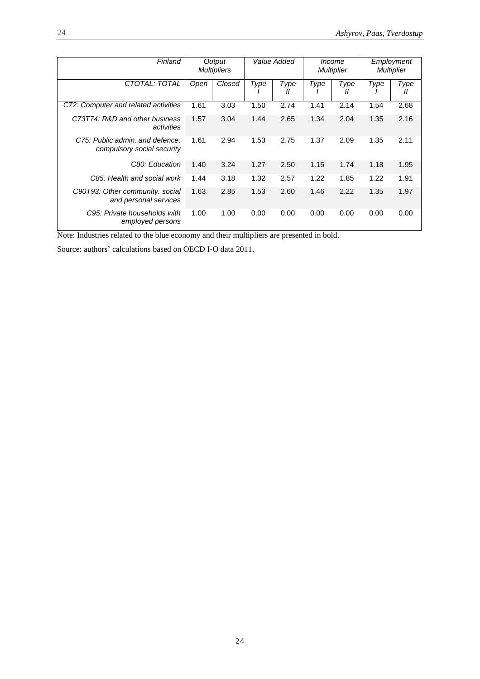| Finland                                                       |      | Value Added<br>Output<br>Income<br><b>Multipliers</b><br><b>Multiplier</b> |      |           | Employment<br><b>Multiplier</b> |                           |      |           |
|---------------------------------------------------------------|------|----------------------------------------------------------------------------|------|-----------|---------------------------------|---------------------------|------|-----------|
| CTOTAL: TOTAL                                                 | Open | Closed                                                                     | Type | Type<br>Ш | Type                            | Type<br>$^{\prime\prime}$ | Type | Type<br>Ш |
| C72: Computer and related activities                          | 1.61 | 3.03                                                                       | 1.50 | 2.74      | 1.41                            | 2.14                      | 1.54 | 2.68      |
| C73T74: R&D and other business<br>activities                  | 1.57 | 3.04                                                                       | 1.44 | 2.65      | 1.34                            | 2.04                      | 1.35 | 2.16      |
| C75: Public admin. and defence:<br>compulsory social security | 1.61 | 2.94                                                                       | 1.53 | 2.75      | 1.37                            | 2.09                      | 1.35 | 2.11      |
| C80: Education                                                | 1.40 | 3.24                                                                       | 1.27 | 2.50      | 1.15                            | 1.74                      | 1.18 | 1.95      |
| C85: Health and social work                                   | 1.44 | 3.18                                                                       | 1.32 | 2.57      | 1.22                            | 1.85                      | 1.22 | 1.91      |
| C90T93: Other community. social<br>and personal services      | 1.63 | 2.85                                                                       | 1.53 | 2.60      | 1.46                            | 2.22                      | 1.35 | 1.97      |
| C95: Private households with<br>employed persons              | 1.00 | 1.00                                                                       | 0.00 | 0.00      | 0.00                            | 0.00                      | 0.00 | 0.00      |

Note: Industries related to the blue economy and their multipliers are presented in bold.

Source: authors' calculations based on OECD I-O data 2011.